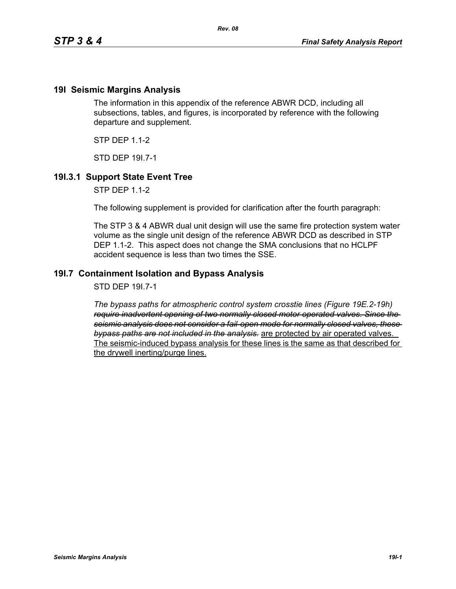## **19I Seismic Margins Analysis**

The information in this appendix of the reference ABWR DCD, including all subsections, tables, and figures, is incorporated by reference with the following departure and supplement.

 $STP$  DFP 11-2

STD DEP 19I.7-1

## **19I.3.1 Support State Event Tree**

STP DEP 1.1-2

The following supplement is provided for clarification after the fourth paragraph:

The STP 3 & 4 ABWR dual unit design will use the same fire protection system water volume as the single unit design of the reference ABWR DCD as described in STP DEP 1.1-2. This aspect does not change the SMA conclusions that no HCLPF accident sequence is less than two times the SSE.

## **19I.7 Containment Isolation and Bypass Analysis**

STD DEP 19I.7-1

*The bypass paths for atmospheric control system crosstie lines (Figure 19E.2-19h) require inadvertent opening of two normally closed motor operated valves. Since the seismic analysis does not consider a fail-open mode for normally closed valves, these bypass paths are not included in the analysis.* are protected by air operated valves. The seismic-induced bypass analysis for these lines is the same as that described for the drywell inerting/purge lines.